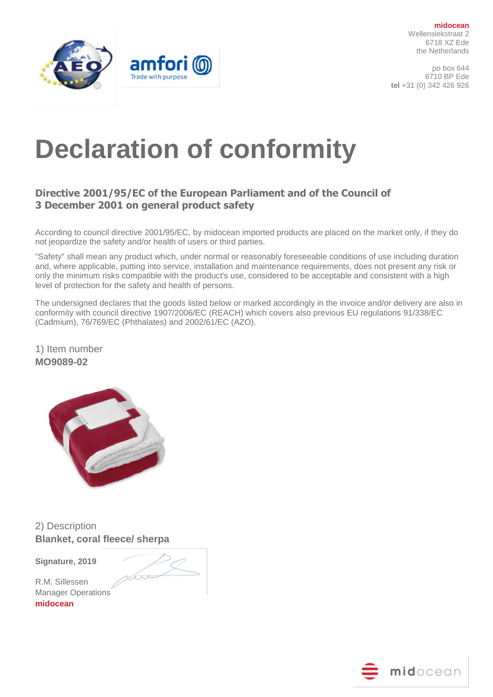



# **Declaration of conformity**

## **Directive 2001/95/EC of the European Parliament and of the Council of 3 December 2001 on general product safety**

According to council directive 2001/95/EC, by midocean imported products are placed on the market only, if they do not jeopardize the safety and/or health of users or third parties.

"Safety" shall mean any product which, under normal or reasonably foreseeable conditions of use including duration and, where applicable, putting into service, installation and maintenance requirements, does not present any risk or only the minimum risks compatible with the product's use, considered to be acceptable and consistent with a high level of protection for the safety and health of persons.

The undersigned declares that the goods listed below or marked accordingly in the invoice and/or delivery are also in conformity with council directive 1907/2006/EC (REACH) which covers also previous EU regulations 91/338/EC (Cadmium), 76/769/EC (Phthalates) and 2002/61/EC (AZO).

1) Item number **MO9089-02**



2) Description **Blanket, coral fleece/ sherpa**

Var

**Signature, 2019** 

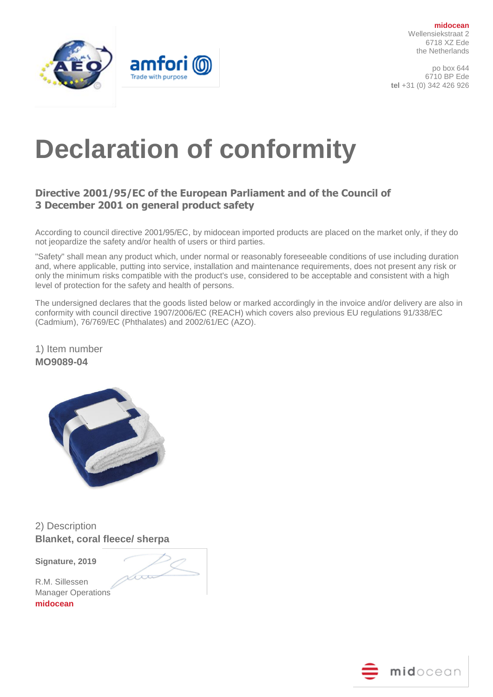



# **Declaration of conformity**

## **Directive 2001/95/EC of the European Parliament and of the Council of 3 December 2001 on general product safety**

According to council directive 2001/95/EC, by midocean imported products are placed on the market only, if they do not jeopardize the safety and/or health of users or third parties.

"Safety" shall mean any product which, under normal or reasonably foreseeable conditions of use including duration and, where applicable, putting into service, installation and maintenance requirements, does not present any risk or only the minimum risks compatible with the product's use, considered to be acceptable and consistent with a high level of protection for the safety and health of persons.

The undersigned declares that the goods listed below or marked accordingly in the invoice and/or delivery are also in conformity with council directive 1907/2006/EC (REACH) which covers also previous EU regulations 91/338/EC (Cadmium), 76/769/EC (Phthalates) and 2002/61/EC (AZO).

1) Item number **MO9089-04**



2) Description **Blanket, coral fleece/ sherpa**

Var

**Signature, 2019** 

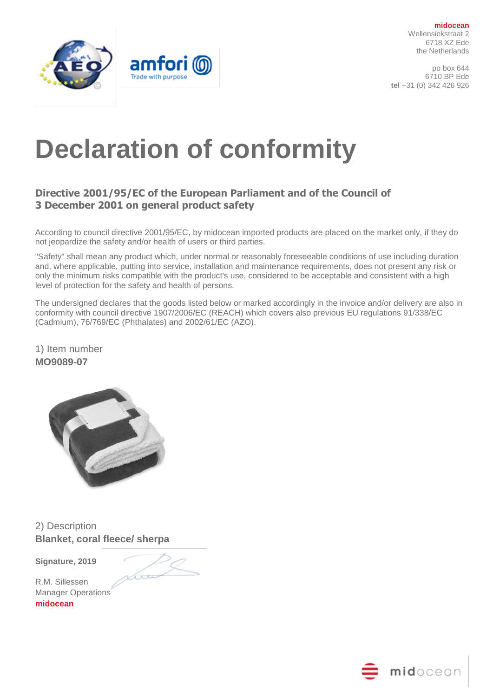



# **Declaration of conformity**

## **Directive 2001/95/EC of the European Parliament and of the Council of 3 December 2001 on general product safety**

According to council directive 2001/95/EC, by midocean imported products are placed on the market only, if they do not jeopardize the safety and/or health of users or third parties.

"Safety" shall mean any product which, under normal or reasonably foreseeable conditions of use including duration and, where applicable, putting into service, installation and maintenance requirements, does not present any risk or only the minimum risks compatible with the product's use, considered to be acceptable and consistent with a high level of protection for the safety and health of persons.

The undersigned declares that the goods listed below or marked accordingly in the invoice and/or delivery are also in conformity with council directive 1907/2006/EC (REACH) which covers also previous EU regulations 91/338/EC (Cadmium), 76/769/EC (Phthalates) and 2002/61/EC (AZO).

1) Item number **MO9089-07**



2) Description **Blanket, coral fleece/ sherpa**

Var

**Signature, 2019**